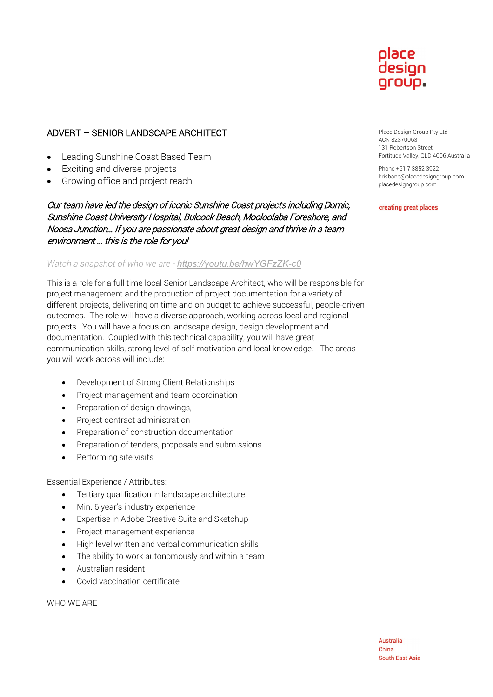# place desian aroup.

# ADVERT – SENIOR LANDSCAPE ARCHITECT

- Leading Sunshine Coast Based Team
- **Exciting and diverse projects**
- Growing office and project reach

## Our team have led the design of iconic Sunshine Coast projects including Domic, Sunshine Coast University Hospital, Bulcock Beach, Mooloolaba Foreshore, and Noosa Junction… If you are passionate about great design and thrive in a team environment … this is the role for you!

### *Watch a snapshot of who we are - <https://youtu.be/hwYGFzZK-c0>*

This is a role for a full time local Senior Landscape Architect, who will be responsible for project management and the production of project documentation for a variety of different projects, delivering on time and on budget to achieve successful, people-driven outcomes. The role will have a diverse approach, working across local and regional projects. You will have a focus on landscape design, design development and documentation. Coupled with this technical capability, you will have great communication skills, strong level of self-motivation and local knowledge. The areas you will work across will include:

- Development of Strong Client Relationships
- Project management and team coordination
- Preparation of design drawings,
- Project contract administration
- Preparation of construction documentation
- Preparation of tenders, proposals and submissions
- Performing site visits

#### Essential Experience / Attributes:

- Tertiary qualification in landscape architecture
- Min. 6 year's industry experience
- Expertise in Adobe Creative Suite and Sketchup
- Project management experience
- High level written and verbal communication skills
- The ability to work autonomously and within a team
- Australian resident
- Covid vaccination certificate

WHO WE ARE

Place Design Group Pty Ltd ACN 82370063 131 Robertson Street Fortitude Valley, QLD 4006 Australia

Phone +61 7 3852 3922 brisbane@placedesigngroup.com placedesigngroup.com

creating great places

Australia China **South East Asia**